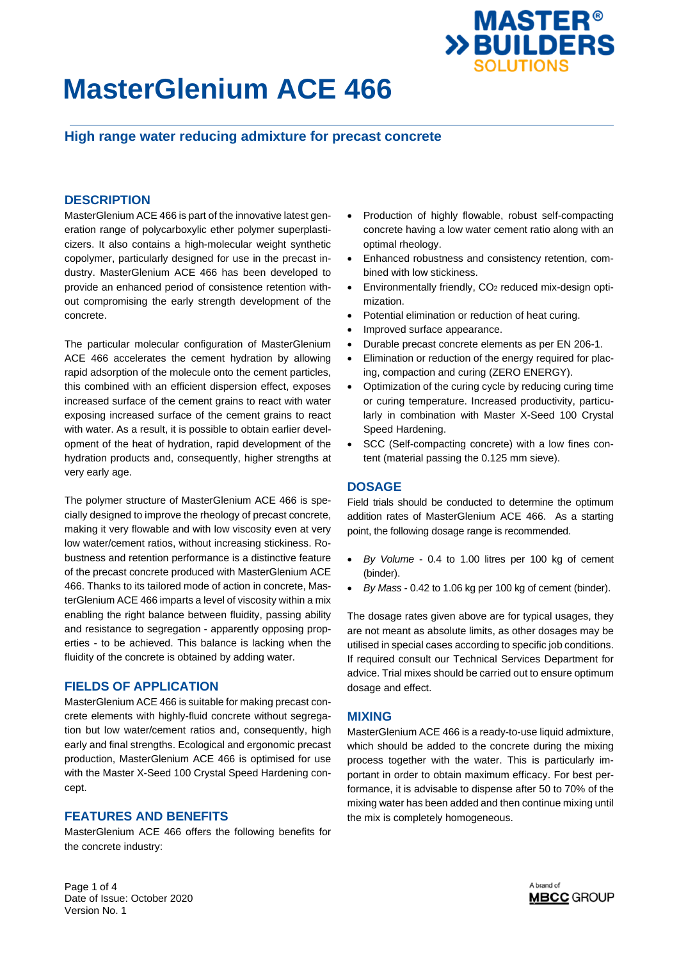## **High range water reducing admixture for precast concrete**

### **DESCRIPTION**

MasterGlenium ACE 466 is part of the innovative latest generation range of polycarboxylic ether polymer superplasticizers. It also contains a high-molecular weight synthetic copolymer, particularly designed for use in the precast industry. MasterGlenium ACE 466 has been developed to provide an enhanced period of consistence retention without compromising the early strength development of the concrete.

The particular molecular configuration of MasterGlenium ACE 466 accelerates the cement hydration by allowing rapid adsorption of the molecule onto the cement particles, this combined with an efficient dispersion effect, exposes increased surface of the cement grains to react with water exposing increased surface of the cement grains to react with water. As a result, it is possible to obtain earlier development of the heat of hydration, rapid development of the hydration products and, consequently, higher strengths at very early age.

The polymer structure of MasterGlenium ACE 466 is specially designed to improve the rheology of precast concrete, making it very flowable and with low viscosity even at very low water/cement ratios, without increasing stickiness. Robustness and retention performance is a distinctive feature of the precast concrete produced with MasterGlenium ACE 466. Thanks to its tailored mode of action in concrete, MasterGlenium ACE 466 imparts a level of viscosity within a mix enabling the right balance between fluidity, passing ability and resistance to segregation - apparently opposing properties - to be achieved. This balance is lacking when the fluidity of the concrete is obtained by adding water.

### **FIELDS OF APPLICATION**

MasterGlenium ACE 466 is suitable for making precast concrete elements with highly-fluid concrete without segregation but low water/cement ratios and, consequently, high early and final strengths. Ecological and ergonomic precast production, MasterGlenium ACE 466 is optimised for use with the Master X-Seed 100 Crystal Speed Hardening concept.

### **FEATURES AND BENEFITS**

MasterGlenium ACE 466 offers the following benefits for the concrete industry:

 Production of highly flowable, robust self-compacting concrete having a low water cement ratio along with an optimal rheology.

**MASTER<sup>®</sup>** 

**>>BUILDERS** 

**SOLUTIONS** 

- Enhanced robustness and consistency retention, combined with low stickiness.
- Environmentally friendly, CO<sub>2</sub> reduced mix-design optimization.
- Potential elimination or reduction of heat curing.
- Improved surface appearance.
- Durable precast concrete elements as per EN 206-1.
- Elimination or reduction of the energy required for placing, compaction and curing (ZERO ENERGY).
- Optimization of the curing cycle by reducing curing time or curing temperature. Increased productivity, particularly in combination with Master X-Seed 100 Crystal Speed Hardening.
- SCC (Self-compacting concrete) with a low fines content (material passing the 0.125 mm sieve).

#### **DOSAGE**

Field trials should be conducted to determine the optimum addition rates of MasterGlenium ACE 466. As a starting point, the following dosage range is recommended.

- *By Volume* 0.4 to 1.00 litres per 100 kg of cement (binder).
- *By Mass* 0.42 to 1.06 kg per 100 kg of cement (binder).

The dosage rates given above are for typical usages, they are not meant as absolute limits, as other dosages may be utilised in special cases according to specific job conditions. If required consult our Technical Services Department for advice. Trial mixes should be carried out to ensure optimum dosage and effect.

#### **MIXING**

MasterGlenium ACE 466 is a ready-to-use liquid admixture, which should be added to the concrete during the mixing process together with the water. This is particularly important in order to obtain maximum efficacy. For best performance, it is advisable to dispense after 50 to 70% of the mixing water has been added and then continue mixing until the mix is completely homogeneous.

Page 1 of 4 Date of Issue: October 2020 Version No. 1

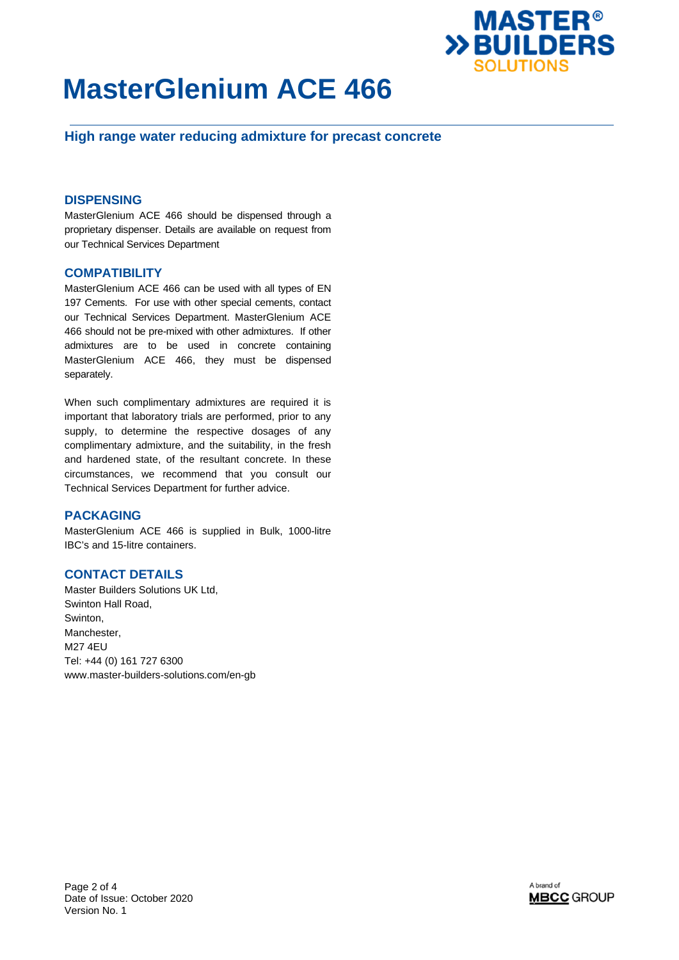

## **High range water reducing admixture for precast concrete**

### **DISPENSING**

MasterGlenium ACE 466 should be dispensed through a proprietary dispenser. Details are available on request from our Technical Services Department

### **COMPATIBILITY**

MasterGlenium ACE 466 can be used with all types of EN 197 Cements. For use with other special cements, contact our Technical Services Department. MasterGlenium ACE 466 should not be pre-mixed with other admixtures. If other admixtures are to be used in concrete containing MasterGlenium ACE 466, they must be dispensed separately.

When such complimentary admixtures are required it is important that laboratory trials are performed, prior to any supply, to determine the respective dosages of any complimentary admixture, and the suitability, in the fresh and hardened state, of the resultant concrete. In these circumstances, we recommend that you consult our Technical Services Department for further advice.

### **PACKAGING**

MasterGlenium ACE 466 is supplied in Bulk, 1000-litre IBC's and 15-litre containers.

## **CONTACT DETAILS**

Master Builders Solutions UK Ltd, Swinton Hall Road, Swinton, Manchester, M27 4EU Tel: +44 (0) 161 727 6300 www.master-builders-solutions.com/en-gb

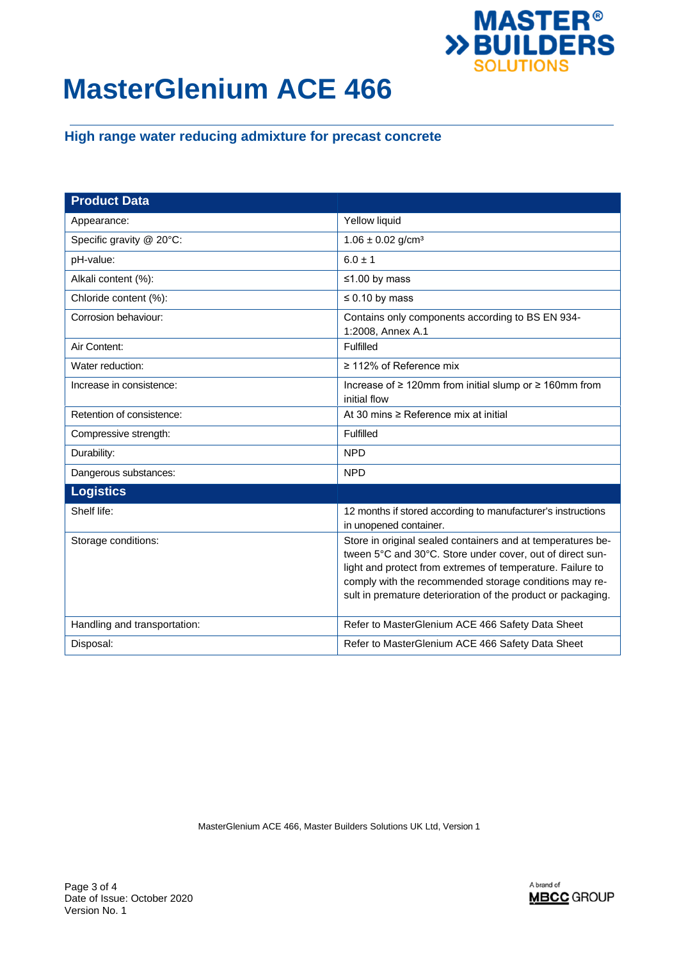

# **High range water reducing admixture for precast concrete**

| <b>Product Data</b>          |                                                                                                                                                                                                                                                                                                                  |
|------------------------------|------------------------------------------------------------------------------------------------------------------------------------------------------------------------------------------------------------------------------------------------------------------------------------------------------------------|
| Appearance:                  | Yellow liquid                                                                                                                                                                                                                                                                                                    |
| Specific gravity @ 20°C:     | $1.06 \pm 0.02$ g/cm <sup>3</sup>                                                                                                                                                                                                                                                                                |
| pH-value:                    | $6.0 \pm 1$                                                                                                                                                                                                                                                                                                      |
| Alkali content (%):          | ≤1.00 by mass                                                                                                                                                                                                                                                                                                    |
| Chloride content (%):        | $\leq 0.10$ by mass                                                                                                                                                                                                                                                                                              |
| Corrosion behaviour:         | Contains only components according to BS EN 934-<br>1:2008, Annex A.1                                                                                                                                                                                                                                            |
| Air Content:                 | Fulfilled                                                                                                                                                                                                                                                                                                        |
| Water reduction:             | $\geq$ 112% of Reference mix                                                                                                                                                                                                                                                                                     |
| Increase in consistence:     | Increase of $\geq 120$ mm from initial slump or $\geq 160$ mm from<br>initial flow                                                                                                                                                                                                                               |
| Retention of consistence:    | At 30 mins $\geq$ Reference mix at initial                                                                                                                                                                                                                                                                       |
| Compressive strength:        | Fulfilled                                                                                                                                                                                                                                                                                                        |
| Durability:                  | <b>NPD</b>                                                                                                                                                                                                                                                                                                       |
| Dangerous substances:        | <b>NPD</b>                                                                                                                                                                                                                                                                                                       |
| <b>Logistics</b>             |                                                                                                                                                                                                                                                                                                                  |
| Shelf life:                  | 12 months if stored according to manufacturer's instructions<br>in unopened container.                                                                                                                                                                                                                           |
| Storage conditions:          | Store in original sealed containers and at temperatures be-<br>tween 5°C and 30°C. Store under cover, out of direct sun-<br>light and protect from extremes of temperature. Failure to<br>comply with the recommended storage conditions may re-<br>sult in premature deterioration of the product or packaging. |
| Handling and transportation: | Refer to MasterGlenium ACE 466 Safety Data Sheet                                                                                                                                                                                                                                                                 |
| Disposal:                    | Refer to MasterGlenium ACE 466 Safety Data Sheet                                                                                                                                                                                                                                                                 |

MasterGlenium ACE 466, Master Builders Solutions UK Ltd, Version 1